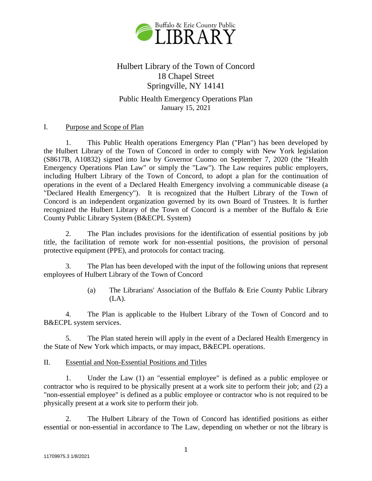

# Hulbert Library of the Town of Concord 18 Chapel Street Springville, NY 14141

Public Health Emergency Operations Plan January 15, 2021

# I. Purpose and Scope of Plan

1. This Public Health operations Emergency Plan ("Plan") has been developed by the Hulbert Library of the Town of Concord in order to comply with New York legislation (S8617B, A10832) signed into law by Governor Cuomo on September 7, 2020 (the "Health Emergency Operations Plan Law" or simply the "Law"). The Law requires public employers, including Hulbert Library of the Town of Concord, to adopt a plan for the continuation of operations in the event of a Declared Health Emergency involving a communicable disease (a "Declared Health Emergency"). It is recognized that the Hulbert Library of the Town of Concord is an independent organization governed by its own Board of Trustees. It is further recognized the Hulbert Library of the Town of Concord is a member of the Buffalo & Erie County Public Library System (B&ECPL System)

2. The Plan includes provisions for the identification of essential positions by job title, the facilitation of remote work for non-essential positions, the provision of personal protective equipment (PPE), and protocols for contact tracing.

3. The Plan has been developed with the input of the following unions that represent employees of Hulbert Library of the Town of Concord

> (a) The Librarians' Association of the Buffalo & Erie County Public Library  $(LA)$ .

4. The Plan is applicable to the Hulbert Library of the Town of Concord and to B&ECPL system services.

5. The Plan stated herein will apply in the event of a Declared Health Emergency in the State of New York which impacts, or may impact, B&ECPL operations.

## II. Essential and Non-Essential Positions and Titles

1. Under the Law (1) an "essential employee" is defined as a public employee or contractor who is required to be physically present at a work site to perform their job; and (2) a "non-essential employee" is defined as a public employee or contractor who is not required to be physically present at a work site to perform their job.

2. The Hulbert Library of the Town of Concord has identified positions as either essential or non-essential in accordance to The Law, depending on whether or not the library is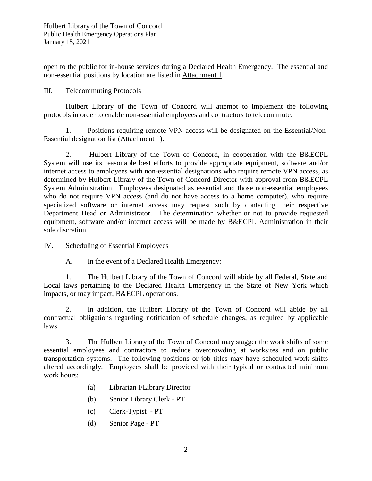open to the public for in-house services during a Declared Health Emergency. The essential and non-essential positions by location are listed in Attachment 1.

# III. Telecommuting Protocols

Hulbert Library of the Town of Concord will attempt to implement the following protocols in order to enable non-essential employees and contractors to telecommute:

1. Positions requiring remote VPN access will be designated on the Essential/Non-Essential designation list (Attachment 1).

2. Hulbert Library of the Town of Concord, in cooperation with the B&ECPL System will use its reasonable best efforts to provide appropriate equipment, software and/or internet access to employees with non-essential designations who require remote VPN access, as determined by Hulbert Library of the Town of Concord Director with approval from B&ECPL System Administration. Employees designated as essential and those non-essential employees who do not require VPN access (and do not have access to a home computer), who require specialized software or internet access may request such by contacting their respective Department Head or Administrator. The determination whether or not to provide requested equipment, software and/or internet access will be made by B&ECPL Administration in their sole discretion.

IV. Scheduling of Essential Employees

A. In the event of a Declared Health Emergency:

1. The Hulbert Library of the Town of Concord will abide by all Federal, State and Local laws pertaining to the Declared Health Emergency in the State of New York which impacts, or may impact, B&ECPL operations.

2. In addition, the Hulbert Library of the Town of Concord will abide by all contractual obligations regarding notification of schedule changes, as required by applicable laws.

3. The Hulbert Library of the Town of Concord may stagger the work shifts of some essential employees and contractors to reduce overcrowding at worksites and on public transportation systems. The following positions or job titles may have scheduled work shifts altered accordingly. Employees shall be provided with their typical or contracted minimum work hours:

- (a) Librarian I/Library Director
- (b) Senior Library Clerk PT
- (c) Clerk-Typist PT
- (d) Senior Page PT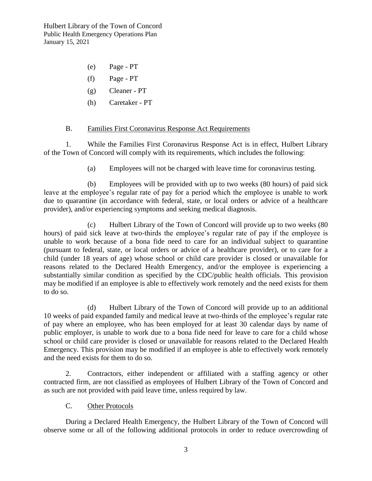- (e) Page PT
- (f) Page PT
- (g) Cleaner PT
- (h) Caretaker PT

## B. Families First Coronavirus Response Act Requirements

1. While the Families First Coronavirus Response Act is in effect, Hulbert Library of the Town of Concord will comply with its requirements, which includes the following:

(a) Employees will not be charged with leave time for coronavirus testing.

(b) Employees will be provided with up to two weeks (80 hours) of paid sick leave at the employee's regular rate of pay for a period which the employee is unable to work due to quarantine (in accordance with federal, state, or local orders or advice of a healthcare provider), and/or experiencing symptoms and seeking medical diagnosis.

(c) Hulbert Library of the Town of Concord will provide up to two weeks (80 hours) of paid sick leave at two-thirds the employee's regular rate of pay if the employee is unable to work because of a bona fide need to care for an individual subject to quarantine (pursuant to federal, state, or local orders or advice of a healthcare provider), or to care for a child (under 18 years of age) whose school or child care provider is closed or unavailable for reasons related to the Declared Health Emergency, and/or the employee is experiencing a substantially similar condition as specified by the CDC/public health officials. This provision may be modified if an employee is able to effectively work remotely and the need exists for them to do so.

(d) Hulbert Library of the Town of Concord will provide up to an additional 10 weeks of paid expanded family and medical leave at two-thirds of the employee's regular rate of pay where an employee, who has been employed for at least 30 calendar days by name of public employer, is unable to work due to a bona fide need for leave to care for a child whose school or child care provider is closed or unavailable for reasons related to the Declared Health Emergency. This provision may be modified if an employee is able to effectively work remotely and the need exists for them to do so.

2. Contractors, either independent or affiliated with a staffing agency or other contracted firm, are not classified as employees of Hulbert Library of the Town of Concord and as such are not provided with paid leave time, unless required by law.

## C. Other Protocols

During a Declared Health Emergency, the Hulbert Library of the Town of Concord will observe some or all of the following additional protocols in order to reduce overcrowding of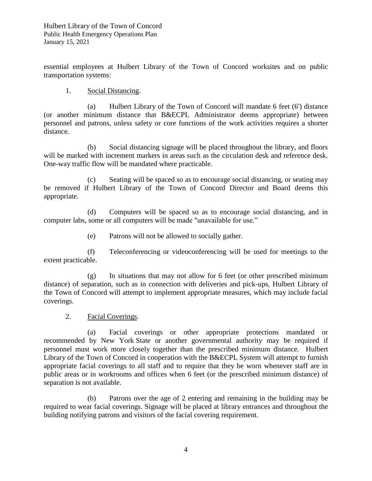essential employees at Hulbert Library of the Town of Concord worksites and on public transportation systems:

# 1. Social Distancing.

(a) Hulbert Library of the Town of Concord will mandate 6 feet (6') distance (or another minimum distance that B&ECPL Administrator deems appropriate) between personnel and patrons, unless safety or core functions of the work activities requires a shorter distance.

(b) Social distancing signage will be placed throughout the library, and floors will be marked with increment markers in areas such as the circulation desk and reference desk. One-way traffic flow will be mandated where practicable.

(c) Seating will be spaced so as to encourage social distancing, or seating may be removed if Hulbert Library of the Town of Concord Director and Board deems this appropriate.

(d) Computers will be spaced so as to encourage social distancing, and in computer labs, some or all computers will be made "unavailable for use."

(e) Patrons will not be allowed to socially gather.

(f) Teleconferencing or videoconferencing will be used for meetings to the extent practicable.

(g) In situations that may not allow for 6 feet (or other prescribed minimum distance) of separation, such as in connection with deliveries and pick-ups, Hulbert Library of the Town of Concord will attempt to implement appropriate measures, which may include facial coverings.

## 2. Facial Coverings.

(a) Facial coverings or other appropriate protections mandated or recommended by New York State or another governmental authority may be required if personnel must work more closely together than the prescribed minimum distance. Hulbert Library of the Town of Concord in cooperation with the B&ECPL System will attempt to furnish appropriate facial coverings to all staff and to require that they be worn whenever staff are in public areas or in workrooms and offices when 6 feet (or the prescribed minimum distance) of separation is not available.

(b) Patrons over the age of 2 entering and remaining in the building may be required to wear facial coverings. Signage will be placed at library entrances and throughout the building notifying patrons and visitors of the facial covering requirement.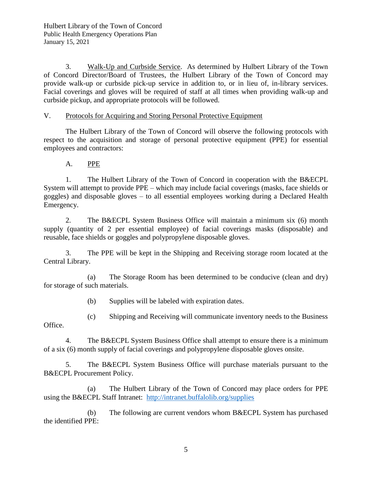3. Walk-Up and Curbside Service. As determined by Hulbert Library of the Town of Concord Director/Board of Trustees, the Hulbert Library of the Town of Concord may provide walk-up or curbside pick-up service in addition to, or in lieu of, in-library services. Facial coverings and gloves will be required of staff at all times when providing walk-up and curbside pickup, and appropriate protocols will be followed.

# V. Protocols for Acquiring and Storing Personal Protective Equipment

The Hulbert Library of the Town of Concord will observe the following protocols with respect to the acquisition and storage of personal protective equipment (PPE) for essential employees and contractors:

A. PPE

1. The Hulbert Library of the Town of Concord in cooperation with the B&ECPL System will attempt to provide PPE – which may include facial coverings (masks, face shields or goggles) and disposable gloves – to all essential employees working during a Declared Health Emergency.

2. The B&ECPL System Business Office will maintain a minimum six (6) month supply (quantity of 2 per essential employee) of facial coverings masks (disposable) and reusable, face shields or goggles and polypropylene disposable gloves.

3. The PPE will be kept in the Shipping and Receiving storage room located at the Central Library.

(a) The Storage Room has been determined to be conducive (clean and dry) for storage of such materials.

(b) Supplies will be labeled with expiration dates.

(c) Shipping and Receiving will communicate inventory needs to the Business

Office.

4. The B&ECPL System Business Office shall attempt to ensure there is a minimum of a six (6) month supply of facial coverings and polypropylene disposable gloves onsite.

5. The B&ECPL System Business Office will purchase materials pursuant to the B&ECPL Procurement Policy.

(a) The Hulbert Library of the Town of Concord may place orders for PPE using the B&ECPL Staff Intranet: <http://intranet.buffalolib.org/supplies>

(b) The following are current vendors whom B&ECPL System has purchased the identified PPE: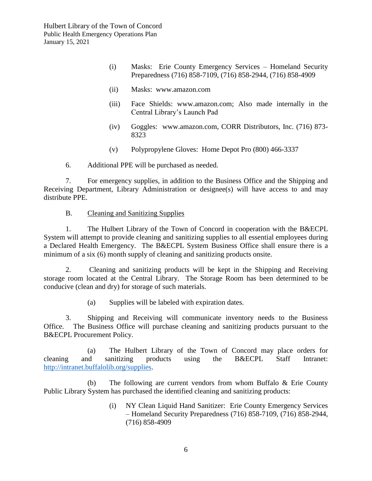- (i) Masks: Erie County Emergency Services Homeland Security Preparedness (716) 858-7109, (716) 858-2944, (716) 858-4909
- (ii) Masks: www.amazon.com
- (iii) Face Shields: www.amazon.com; Also made internally in the Central Library's Launch Pad
- (iv) Goggles: www.amazon.com, CORR Distributors, Inc. (716) 873- 8323
- (v) Polypropylene Gloves: Home Depot Pro (800) 466-3337

6. Additional PPE will be purchased as needed.

7. For emergency supplies, in addition to the Business Office and the Shipping and Receiving Department, Library Administration or designee(s) will have access to and may distribute PPE.

B. Cleaning and Sanitizing Supplies

1. The Hulbert Library of the Town of Concord in cooperation with the B&ECPL System will attempt to provide cleaning and sanitizing supplies to all essential employees during a Declared Health Emergency. The B&ECPL System Business Office shall ensure there is a minimum of a six (6) month supply of cleaning and sanitizing products onsite.

2. Cleaning and sanitizing products will be kept in the Shipping and Receiving storage room located at the Central Library. The Storage Room has been determined to be conducive (clean and dry) for storage of such materials.

(a) Supplies will be labeled with expiration dates.

3. Shipping and Receiving will communicate inventory needs to the Business Office. The Business Office will purchase cleaning and sanitizing products pursuant to the B&ECPL Procurement Policy.

(a) The Hulbert Library of the Town of Concord may place orders for cleaning and sanitizing products using the B&ECPL Staff Intranet: [http://intranet.buffalolib.org/supplies.](http://intranet.buffalolib.org/supplies)

(b) The following are current vendors from whom Buffalo & Erie County Public Library System has purchased the identified cleaning and sanitizing products:

> (i) NY Clean Liquid Hand Sanitizer: Erie County Emergency Services – Homeland Security Preparedness (716) 858-7109, (716) 858-2944, (716) 858-4909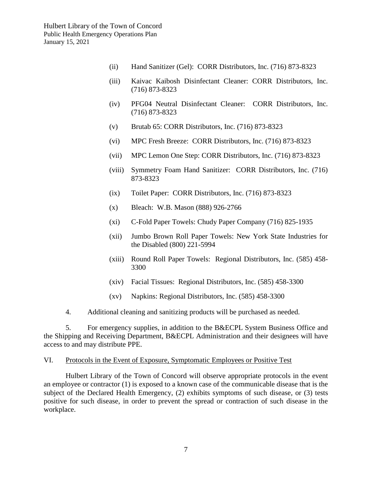- (ii) Hand Sanitizer (Gel): CORR Distributors, Inc. (716) 873-8323
- (iii) Kaivac Kaibosh Disinfectant Cleaner: CORR Distributors, Inc. (716) 873-8323
- (iv) PFG04 Neutral Disinfectant Cleaner: CORR Distributors, Inc. (716) 873-8323
- (v) Brutab 65: CORR Distributors, Inc. (716) 873-8323
- (vi) MPC Fresh Breeze: CORR Distributors, Inc. (716) 873-8323
- (vii) MPC Lemon One Step: CORR Distributors, Inc. (716) 873-8323
- (viii) Symmetry Foam Hand Sanitizer: CORR Distributors, Inc. (716) 873-8323
- (ix) Toilet Paper: CORR Distributors, Inc. (716) 873-8323
- (x) Bleach: W.B. Mason (888) 926-2766
- (xi) C-Fold Paper Towels: Chudy Paper Company (716) 825-1935
- (xii) Jumbo Brown Roll Paper Towels: New York State Industries for the Disabled (800) 221-5994
- (xiii) Round Roll Paper Towels: Regional Distributors, Inc. (585) 458- 3300
- (xiv) Facial Tissues: Regional Distributors, Inc. (585) 458-3300
- (xv) Napkins: Regional Distributors, Inc. (585) 458-3300
- 4. Additional cleaning and sanitizing products will be purchased as needed.

5. For emergency supplies, in addition to the B&ECPL System Business Office and the Shipping and Receiving Department, B&ECPL Administration and their designees will have access to and may distribute PPE.

#### VI. Protocols in the Event of Exposure, Symptomatic Employees or Positive Test

Hulbert Library of the Town of Concord will observe appropriate protocols in the event an employee or contractor (1) is exposed to a known case of the communicable disease that is the subject of the Declared Health Emergency, (2) exhibits symptoms of such disease, or (3) tests positive for such disease, in order to prevent the spread or contraction of such disease in the workplace.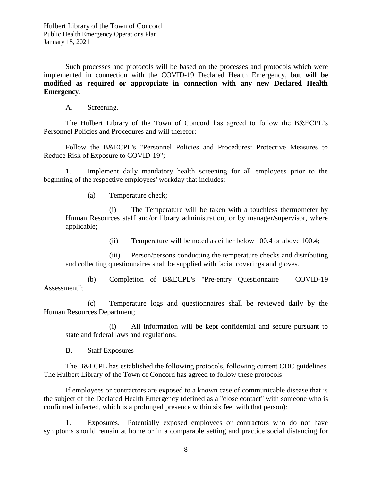Such processes and protocols will be based on the processes and protocols which were implemented in connection with the COVID-19 Declared Health Emergency, **but will be modified as required or appropriate in connection with any new Declared Health Emergency**.

A. Screening.

The Hulbert Library of the Town of Concord has agreed to follow the B&ECPL's Personnel Policies and Procedures and will therefor:

Follow the B&ECPL's "Personnel Policies and Procedures: Protective Measures to Reduce Risk of Exposure to COVID-19";

1. Implement daily mandatory health screening for all employees prior to the beginning of the respective employees' workday that includes:

(a) Temperature check;

(i) The Temperature will be taken with a touchless thermometer by Human Resources staff and/or library administration, or by manager/supervisor, where applicable;

(ii) Temperature will be noted as either below 100.4 or above 100.4;

(iii) Person/persons conducting the temperature checks and distributing and collecting questionnaires shall be supplied with facial coverings and gloves.

(b) Completion of B&ECPL's "Pre-entry Questionnaire – COVID-19 Assessment";

(c) Temperature logs and questionnaires shall be reviewed daily by the Human Resources Department;

(i) All information will be kept confidential and secure pursuant to state and federal laws and regulations;

B. Staff Exposures

The B&ECPL has established the following protocols, following current CDC guidelines. The Hulbert Library of the Town of Concord has agreed to follow these protocols:

If employees or contractors are exposed to a known case of communicable disease that is the subject of the Declared Health Emergency (defined as a "close contact" with someone who is confirmed infected, which is a prolonged presence within six feet with that person):

1. Exposures. Potentially exposed employees or contractors who do not have symptoms should remain at home or in a comparable setting and practice social distancing for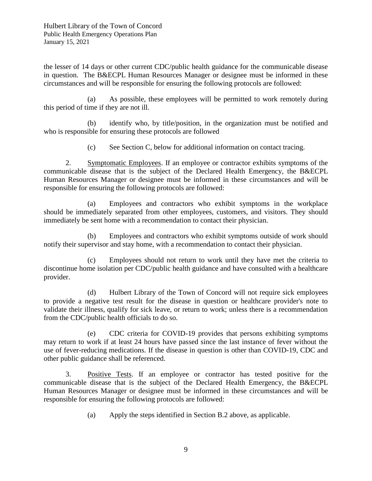the lesser of 14 days or other current CDC/public health guidance for the communicable disease in question. The B&ECPL Human Resources Manager or designee must be informed in these circumstances and will be responsible for ensuring the following protocols are followed:

(a) As possible, these employees will be permitted to work remotely during this period of time if they are not ill.

(b) identify who, by title/position, in the organization must be notified and who is responsible for ensuring these protocols are followed

(c) See Section C, below for additional information on contact tracing.

2. Symptomatic Employees. If an employee or contractor exhibits symptoms of the communicable disease that is the subject of the Declared Health Emergency, the B&ECPL Human Resources Manager or designee must be informed in these circumstances and will be responsible for ensuring the following protocols are followed:

(a) Employees and contractors who exhibit symptoms in the workplace should be immediately separated from other employees, customers, and visitors. They should immediately be sent home with a recommendation to contact their physician.

(b) Employees and contractors who exhibit symptoms outside of work should notify their supervisor and stay home, with a recommendation to contact their physician.

(c) Employees should not return to work until they have met the criteria to discontinue home isolation per CDC/public health guidance and have consulted with a healthcare provider.

(d) Hulbert Library of the Town of Concord will not require sick employees to provide a negative test result for the disease in question or healthcare provider's note to validate their illness, qualify for sick leave, or return to work; unless there is a recommendation from the CDC/public health officials to do so.

(e) CDC criteria for COVID-19 provides that persons exhibiting symptoms may return to work if at least 24 hours have passed since the last instance of fever without the use of fever-reducing medications. If the disease in question is other than COVID-19, CDC and other public guidance shall be referenced.

3. Positive Tests. If an employee or contractor has tested positive for the communicable disease that is the subject of the Declared Health Emergency, the B&ECPL Human Resources Manager or designee must be informed in these circumstances and will be responsible for ensuring the following protocols are followed:

(a) Apply the steps identified in Section B.2 above, as applicable.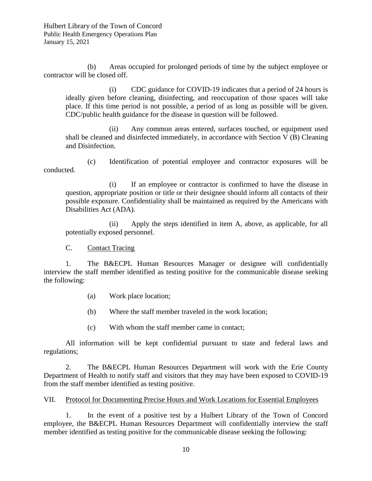(b) Areas occupied for prolonged periods of time by the subject employee or contractor will be closed off.

(i) CDC guidance for COVID-19 indicates that a period of 24 hours is ideally given before cleaning, disinfecting, and reoccupation of those spaces will take place. If this time period is not possible, a period of as long as possible will be given. CDC/public health guidance for the disease in question will be followed.

(ii) Any common areas entered, surfaces touched, or equipment used shall be cleaned and disinfected immediately, in accordance with Section V (B) Cleaning and Disinfection.

(c) Identification of potential employee and contractor exposures will be conducted.

(i) If an employee or contractor is confirmed to have the disease in question, appropriate position or title or their designee should inform all contacts of their possible exposure. Confidentiality shall be maintained as required by the Americans with Disabilities Act (ADA).

(ii) Apply the steps identified in item A, above, as applicable, for all potentially exposed personnel.

C. Contact Tracing

1. The B&ECPL Human Resources Manager or designee will confidentially interview the staff member identified as testing positive for the communicable disease seeking the following:

- (a) Work place location;
- (b) Where the staff member traveled in the work location;
- (c) With whom the staff member came in contact;

All information will be kept confidential pursuant to state and federal laws and regulations;

2. The B&ECPL Human Resources Department will work with the Erie County Department of Health to notify staff and visitors that they may have been exposed to COVID-19 from the staff member identified as testing positive.

VII. Protocol for Documenting Precise Hours and Work Locations for Essential Employees

1. In the event of a positive test by a Hulbert Library of the Town of Concord employee, the B&ECPL Human Resources Department will confidentially interview the staff member identified as testing positive for the communicable disease seeking the following: